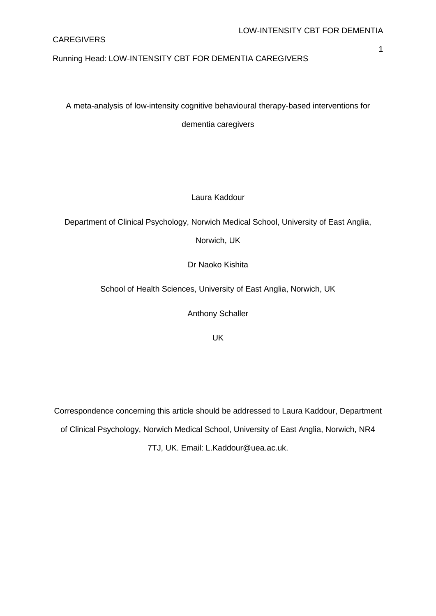## **CAREGIVERS**

## Running Head: LOW-INTENSITY CBT FOR DEMENTIA CAREGIVERS

A meta-analysis of low-intensity cognitive behavioural therapy-based interventions for

dementia caregivers

Laura Kaddour

Department of Clinical Psychology, Norwich Medical School, University of East Anglia,

Norwich, UK

Dr Naoko Kishita

School of Health Sciences, University of East Anglia, Norwich, UK

Anthony Schaller

UK

Correspondence concerning this article should be addressed to Laura Kaddour, Department of Clinical Psychology, Norwich Medical School, University of East Anglia, Norwich, NR4 7TJ, UK. Email: L.Kaddour@uea.ac.uk.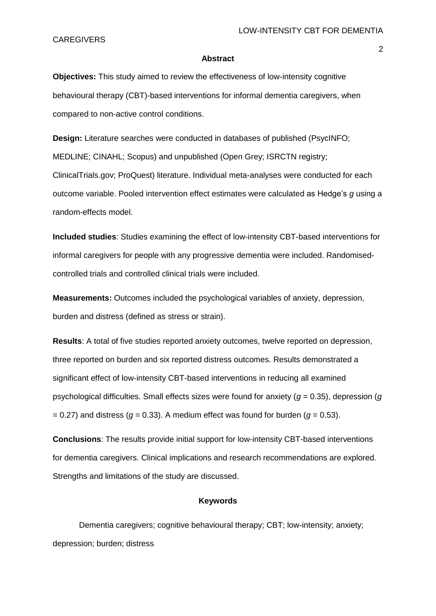### **CAREGIVERS**

#### **Abstract**

**Objectives:** This study aimed to review the effectiveness of low-intensity cognitive behavioural therapy (CBT)-based interventions for informal dementia caregivers, when compared to non-active control conditions.

**Design:** Literature searches were conducted in databases of published (PsycINFO; MEDLINE; CINAHL; Scopus) and unpublished (Open Grey; ISRCTN registry; ClinicalTrials.gov; ProQuest) literature. Individual meta-analyses were conducted for each outcome variable. Pooled intervention effect estimates were calculated as Hedge's *g* using a random-effects model.

**Included studies**: Studies examining the effect of low-intensity CBT-based interventions for informal caregivers for people with any progressive dementia were included. Randomisedcontrolled trials and controlled clinical trials were included.

**Measurements:** Outcomes included the psychological variables of anxiety, depression, burden and distress (defined as stress or strain).

**Results**: A total of five studies reported anxiety outcomes, twelve reported on depression, three reported on burden and six reported distress outcomes. Results demonstrated a significant effect of low-intensity CBT-based interventions in reducing all examined psychological difficulties. Small effects sizes were found for anxiety (*g* = 0.35), depression (*g*   $= 0.27$ ) and distress ( $g = 0.33$ ). A medium effect was found for burden ( $g = 0.53$ ).

**Conclusions**: The results provide initial support for low-intensity CBT-based interventions for dementia caregivers. Clinical implications and research recommendations are explored. Strengths and limitations of the study are discussed.

## **Keywords**

Dementia caregivers; cognitive behavioural therapy; CBT; low-intensity; anxiety; depression; burden; distress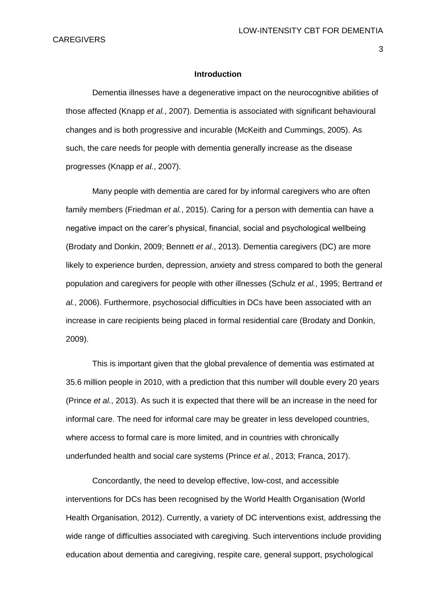**CAREGIVERS** 

#### **Introduction**

Dementia illnesses have a degenerative impact on the neurocognitive abilities of those affected (Knapp *et al.*, 2007). Dementia is associated with significant behavioural changes and is both progressive and incurable (McKeith and Cummings, 2005). As such, the care needs for people with dementia generally increase as the disease progresses (Knapp *et al.*, 2007).

Many people with dementia are cared for by informal caregivers who are often family members (Friedman *et al.*, 2015). Caring for a person with dementia can have a negative impact on the carer's physical, financial, social and psychological wellbeing (Brodaty and Donkin, 2009; Bennett *et al*., 2013). Dementia caregivers (DC) are more likely to experience burden, depression, anxiety and stress compared to both the general population and caregivers for people with other illnesses (Schulz *et al.*, 1995; Bertrand *et al.*, 2006). Furthermore, psychosocial difficulties in DCs have been associated with an increase in care recipients being placed in formal residential care (Brodaty and Donkin, 2009).

This is important given that the global prevalence of dementia was estimated at 35.6 million people in 2010, with a prediction that this number will double every 20 years (Prince *et al.*, 2013). As such it is expected that there will be an increase in the need for informal care. The need for informal care may be greater in less developed countries, where access to formal care is more limited, and in countries with chronically underfunded health and social care systems (Prince *et al.*, 2013; Franca, 2017).

Concordantly, the need to develop effective, low-cost, and accessible interventions for DCs has been recognised by the World Health Organisation (World Health Organisation, 2012). Currently, a variety of DC interventions exist, addressing the wide range of difficulties associated with caregiving. Such interventions include providing education about dementia and caregiving, respite care, general support, psychological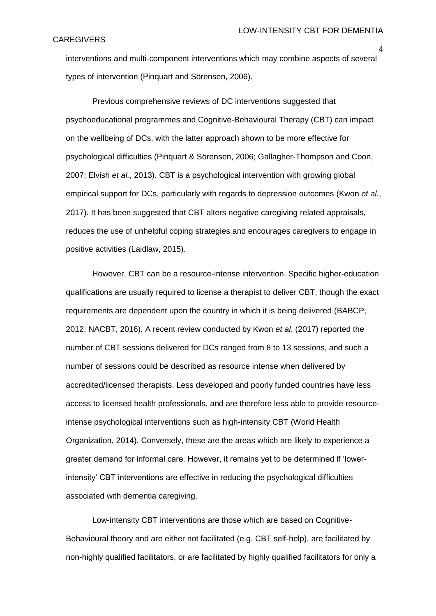## **CAREGIVERS**

interventions and multi-component interventions which may combine aspects of several types of intervention (Pinquart and Sörensen, 2006).

Previous comprehensive reviews of DC interventions suggested that psychoeducational programmes and Cognitive-Behavioural Therapy (CBT) can impact on the wellbeing of DCs, with the latter approach shown to be more effective for psychological difficulties (Pinquart & Sörensen, 2006; Gallagher-Thompson and Coon, 2007; Elvish *et al.*, 2013). CBT is a psychological intervention with growing global empirical support for DCs, particularly with regards to depression outcomes (Kwon *et al.*, 2017). It has been suggested that CBT alters negative caregiving related appraisals, reduces the use of unhelpful coping strategies and encourages caregivers to engage in positive activities (Laidlaw, 2015).

However, CBT can be a resource-intense intervention. Specific higher-education qualifications are usually required to license a therapist to deliver CBT, though the exact requirements are dependent upon the country in which it is being delivered (BABCP, 2012; NACBT, 2016). A recent review conducted by Kwon *et al*. (2017) reported the number of CBT sessions delivered for DCs ranged from 8 to 13 sessions, and such a number of sessions could be described as resource intense when delivered by accredited/licensed therapists. Less developed and poorly funded countries have less access to licensed health professionals, and are therefore less able to provide resourceintense psychological interventions such as high-intensity CBT (World Health Organization, 2014). Conversely, these are the areas which are likely to experience a greater demand for informal care. However, it remains yet to be determined if 'lowerintensity' CBT interventions are effective in reducing the psychological difficulties associated with dementia caregiving.

Low-intensity CBT interventions are those which are based on Cognitive-Behavioural theory and are either not facilitated (e.g. CBT self-help), are facilitated by non-highly qualified facilitators, or are facilitated by highly qualified facilitators for only a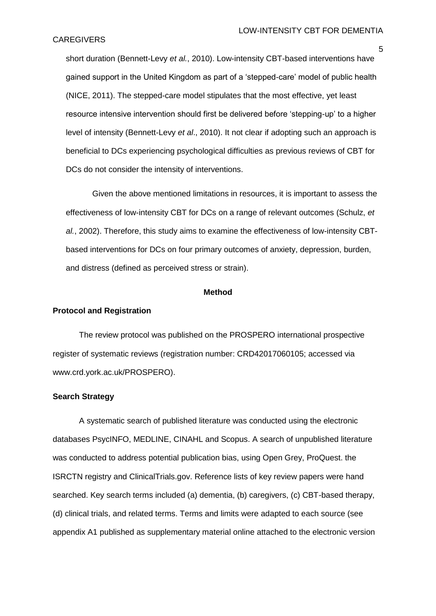## **CAREGIVERS**

short duration (Bennett-Levy *et al.*, 2010). Low-intensity CBT-based interventions have gained support in the United Kingdom as part of a 'stepped-care' model of public health (NICE, 2011). The stepped-care model stipulates that the most effective, yet least resource intensive intervention should first be delivered before 'stepping-up' to a higher level of intensity (Bennett-Levy *et al*., 2010). It not clear if adopting such an approach is beneficial to DCs experiencing psychological difficulties as previous reviews of CBT for DCs do not consider the intensity of interventions.

Given the above mentioned limitations in resources, it is important to assess the effectiveness of low-intensity CBT for DCs on a range of relevant outcomes (Schulz, *et al.*, 2002). Therefore, this study aims to examine the effectiveness of low-intensity CBTbased interventions for DCs on four primary outcomes of anxiety, depression, burden, and distress (defined as perceived stress or strain).

### **Method**

### **Protocol and Registration**

The review protocol was published on the PROSPERO international prospective register of systematic reviews (registration number: CRD42017060105; accessed via www.crd.york.ac.uk/PROSPERO).

## **Search Strategy**

A systematic search of published literature was conducted using the electronic databases PsycINFO, MEDLINE, CINAHL and Scopus. A search of unpublished literature was conducted to address potential publication bias, using Open Grey, ProQuest. the ISRCTN registry and ClinicalTrials.gov. Reference lists of key review papers were hand searched. Key search terms included (a) dementia, (b) caregivers, (c) CBT-based therapy, (d) clinical trials, and related terms. Terms and limits were adapted to each source (see appendix A1 published as supplementary material online attached to the electronic version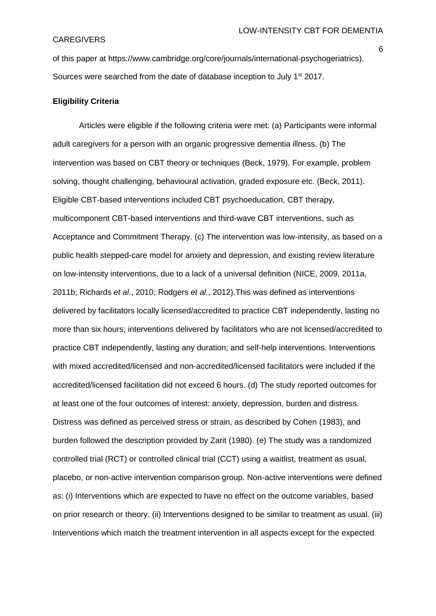#### CAREGIVERS

of this paper at https://www.cambridge.org/core/journals/international-psychogeriatrics). Sources were searched from the date of database inception to July 1<sup>st</sup> 2017.

## **Eligibility Criteria**

Articles were eligible if the following criteria were met: (a) Participants were informal adult caregivers for a person with an organic progressive dementia illness. (b) The intervention was based on CBT theory or techniques (Beck, 1979). For example, problem solving, thought challenging, behavioural activation, graded exposure etc. (Beck, 2011). Eligible CBT-based interventions included CBT psychoeducation, CBT therapy, multicomponent CBT-based interventions and third-wave CBT interventions, such as Acceptance and Commitment Therapy. (c) The intervention was low-intensity, as based on a public health stepped-care model for anxiety and depression, and existing review literature on low-intensity interventions, due to a lack of a universal definition (NICE, 2009, 2011a, 2011b; Richards *et al*., 2010; Rodgers *et al.*, 2012).This was defined as interventions delivered by facilitators locally licensed/accredited to practice CBT independently, lasting no more than six hours; interventions delivered by facilitators who are not licensed/accredited to practice CBT independently, lasting any duration; and self-help interventions. Interventions with mixed accredited/licensed and non-accredited/licensed facilitators were included if the accredited/licensed facilitation did not exceed 6 hours. (d) The study reported outcomes for at least one of the four outcomes of interest: anxiety, depression, burden and distress. Distress was defined as perceived stress or strain, as described by Cohen (1983), and burden followed the description provided by Zarit (1980). (e) The study was a randomized controlled trial (RCT) or controlled clinical trial (CCT) using a waitlist, treatment as usual, placebo, or non-active intervention comparison group. Non-active interventions were defined as: (i) Interventions which are expected to have no effect on the outcome variables, based on prior research or theory. (ii) Interventions designed to be similar to treatment as usual. (iii) Interventions which match the treatment intervention in all aspects except for the expected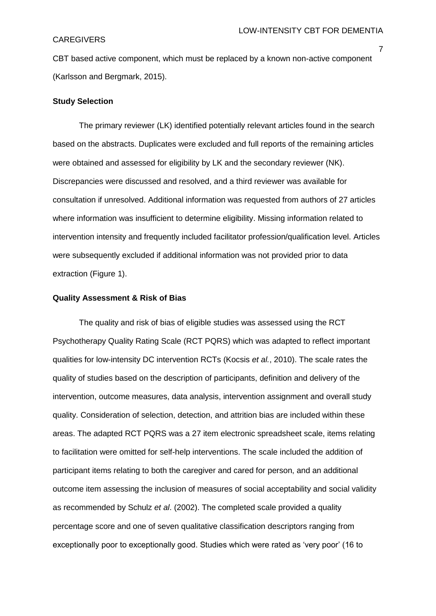#### CAREGIVERS

CBT based active component, which must be replaced by a known non-active component (Karlsson and Bergmark, 2015).

## **Study Selection**

The primary reviewer (LK) identified potentially relevant articles found in the search based on the abstracts. Duplicates were excluded and full reports of the remaining articles were obtained and assessed for eligibility by LK and the secondary reviewer (NK). Discrepancies were discussed and resolved, and a third reviewer was available for consultation if unresolved. Additional information was requested from authors of 27 articles where information was insufficient to determine eligibility. Missing information related to intervention intensity and frequently included facilitator profession/qualification level. Articles were subsequently excluded if additional information was not provided prior to data extraction (Figure 1).

### **Quality Assessment & Risk of Bias**

The quality and risk of bias of eligible studies was assessed using the RCT Psychotherapy Quality Rating Scale (RCT PQRS) which was adapted to reflect important qualities for low-intensity DC intervention RCTs (Kocsis *et al.*, 2010). The scale rates the quality of studies based on the description of participants, definition and delivery of the intervention, outcome measures, data analysis, intervention assignment and overall study quality. Consideration of selection, detection, and attrition bias are included within these areas. The adapted RCT PQRS was a 27 item electronic spreadsheet scale, items relating to facilitation were omitted for self-help interventions. The scale included the addition of participant items relating to both the caregiver and cared for person, and an additional outcome item assessing the inclusion of measures of social acceptability and social validity as recommended by Schulz *et al*. (2002). The completed scale provided a quality percentage score and one of seven qualitative classification descriptors ranging from exceptionally poor to exceptionally good. Studies which were rated as 'very poor' (16 to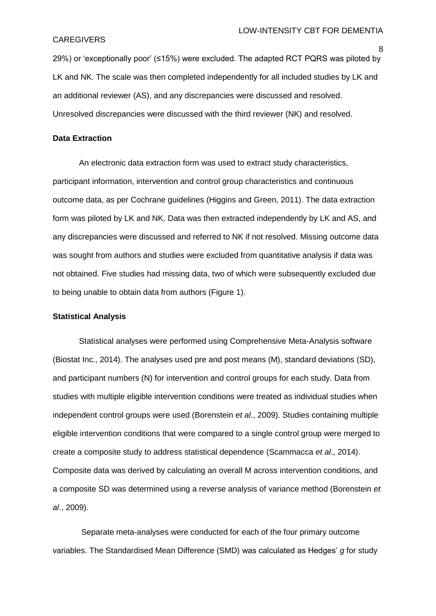### CAREGIVERS

29%) or 'exceptionally poor' (≤15%) were excluded. The adapted RCT PQRS was piloted by LK and NK. The scale was then completed independently for all included studies by LK and an additional reviewer (AS), and any discrepancies were discussed and resolved. Unresolved discrepancies were discussed with the third reviewer (NK) and resolved.

#### **Data Extraction**

An electronic data extraction form was used to extract study characteristics, participant information, intervention and control group characteristics and continuous outcome data, as per Cochrane guidelines (Higgins and Green, 2011). The data extraction form was piloted by LK and NK. Data was then extracted independently by LK and AS, and any discrepancies were discussed and referred to NK if not resolved. Missing outcome data was sought from authors and studies were excluded from quantitative analysis if data was not obtained. Five studies had missing data, two of which were subsequently excluded due to being unable to obtain data from authors (Figure 1).

### **Statistical Analysis**

Statistical analyses were performed using Comprehensive Meta-Analysis software (Biostat Inc., 2014). The analyses used pre and post means (M), standard deviations (SD), and participant numbers (N) for intervention and control groups for each study. Data from studies with multiple eligible intervention conditions were treated as individual studies when independent control groups were used (Borenstein *et al.*, 2009). Studies containing multiple eligible intervention conditions that were compared to a single control group were merged to create a composite study to address statistical dependence (Scammacca *et al*., 2014). Composite data was derived by calculating an overall M across intervention conditions, and a composite SD was determined using a reverse analysis of variance method (Borenstein *et al*., 2009).

Separate meta-analyses were conducted for each of the four primary outcome variables. The Standardised Mean Difference (SMD) was calculated as Hedges' *g* for study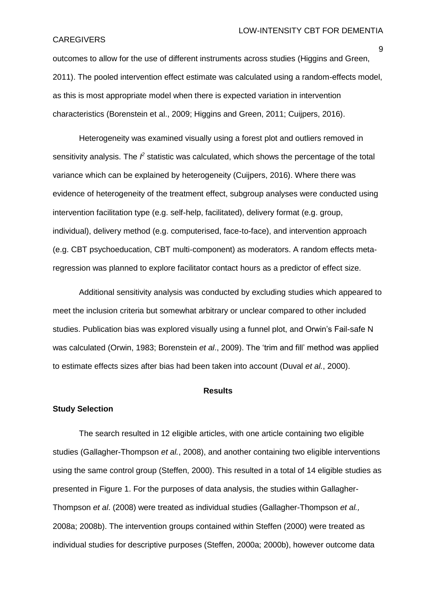#### CAREGIVERS

outcomes to allow for the use of different instruments across studies (Higgins and Green, 2011). The pooled intervention effect estimate was calculated using a random-effects model, as this is most appropriate model when there is expected variation in intervention characteristics (Borenstein et al., 2009; Higgins and Green, 2011; Cuijpers, 2016).

Heterogeneity was examined visually using a forest plot and outliers removed in sensitivity analysis. The  $\beta$  statistic was calculated, which shows the percentage of the total variance which can be explained by heterogeneity (Cuijpers, 2016). Where there was evidence of heterogeneity of the treatment effect, subgroup analyses were conducted using intervention facilitation type (e.g. self-help, facilitated), delivery format (e.g. group, individual), delivery method (e.g. computerised, face-to-face), and intervention approach (e.g. CBT psychoeducation, CBT multi-component) as moderators. A random effects metaregression was planned to explore facilitator contact hours as a predictor of effect size.

Additional sensitivity analysis was conducted by excluding studies which appeared to meet the inclusion criteria but somewhat arbitrary or unclear compared to other included studies. Publication bias was explored visually using a funnel plot, and Orwin's Fail-safe N was calculated (Orwin, 1983; Borenstein *et al*., 2009). The 'trim and fill' method was applied to estimate effects sizes after bias had been taken into account (Duval *et al.*, 2000).

#### **Results**

#### **Study Selection**

The search resulted in 12 eligible articles, with one article containing two eligible studies (Gallagher-Thompson *et al.*, 2008), and another containing two eligible interventions using the same control group (Steffen, 2000). This resulted in a total of 14 eligible studies as presented in Figure 1. For the purposes of data analysis, the studies within Gallagher-Thompson *et al*. (2008) were treated as individual studies (Gallagher-Thompson *et al.,* 2008a; 2008b). The intervention groups contained within Steffen (2000) were treated as individual studies for descriptive purposes (Steffen, 2000a; 2000b), however outcome data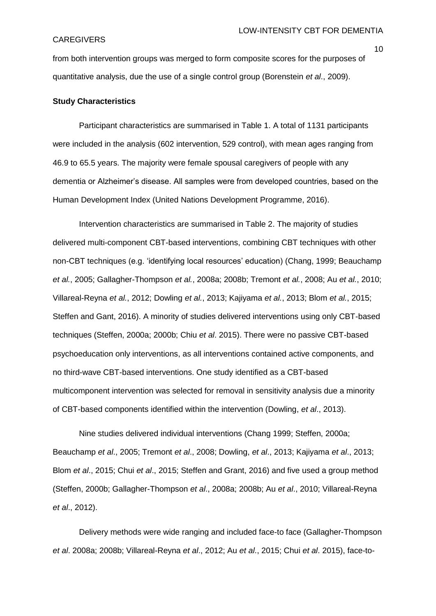## CAREGIVERS

from both intervention groups was merged to form composite scores for the purposes of quantitative analysis, due the use of a single control group (Borenstein *et al*., 2009).

## **Study Characteristics**

Participant characteristics are summarised in Table 1. A total of 1131 participants were included in the analysis (602 intervention, 529 control), with mean ages ranging from 46.9 to 65.5 years. The majority were female spousal caregivers of people with any dementia or Alzheimer's disease. All samples were from developed countries, based on the Human Development Index (United Nations Development Programme, 2016).

Intervention characteristics are summarised in Table 2. The majority of studies delivered multi-component CBT-based interventions, combining CBT techniques with other non-CBT techniques (e.g. 'identifying local resources' education) (Chang, 1999; Beauchamp *et al.*, 2005; Gallagher-Thompson *et al.*, 2008a; 2008b; Tremont *et al.*, 2008; Au *et al.*, 2010; Villareal-Reyna *et al.*, 2012; Dowling *et al.*, 2013; Kajiyama *et al.*, 2013; Blom *et al.*, 2015; Steffen and Gant, 2016). A minority of studies delivered interventions using only CBT-based techniques (Steffen, 2000a; 2000b; Chiu *et al*. 2015). There were no passive CBT-based psychoeducation only interventions, as all interventions contained active components, and no third-wave CBT-based interventions. One study identified as a CBT-based multicomponent intervention was selected for removal in sensitivity analysis due a minority of CBT-based components identified within the intervention (Dowling, *et al*., 2013).

Nine studies delivered individual interventions (Chang 1999; Steffen, 2000a; Beauchamp *et al*., 2005; Tremont *et al*., 2008; Dowling, *et al*., 2013; Kajiyama *et al*., 2013; Blom *et al*., 2015; Chui *et al*., 2015; Steffen and Grant, 2016) and five used a group method (Steffen, 2000b; Gallagher-Thompson *et al*., 2008a; 2008b; Au *et al*., 2010; Villareal-Reyna *et al*., 2012).

Delivery methods were wide ranging and included face-to face (Gallagher-Thompson *et al*. 2008a; 2008b; Villareal-Reyna *et al*., 2012; Au *et al*., 2015; Chui *et al*. 2015), face-to-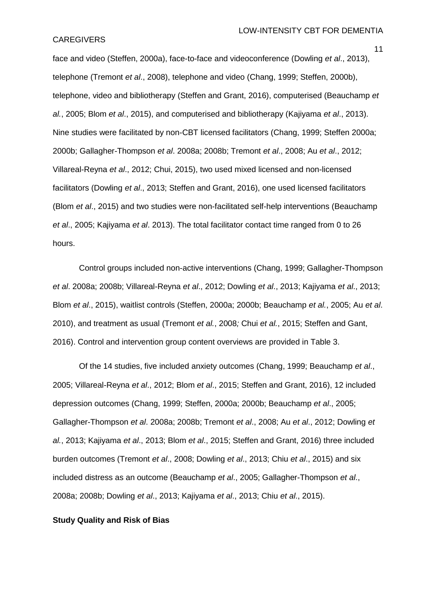#### CAREGIVERS

face and video (Steffen, 2000a), face-to-face and videoconference (Dowling *et al*., 2013), telephone (Tremont *et al*., 2008), telephone and video (Chang, 1999; Steffen, 2000b), telephone, video and bibliotherapy (Steffen and Grant, 2016), computerised (Beauchamp *et al.*, 2005; Blom *et al*., 2015), and computerised and bibliotherapy (Kajiyama *et al*., 2013). Nine studies were facilitated by non-CBT licensed facilitators (Chang, 1999; Steffen 2000a; 2000b; Gallagher-Thompson *et al*. 2008a; 2008b; Tremont *et al*., 2008; Au *et al*., 2012; Villareal-Reyna *et al*., 2012; Chui, 2015), two used mixed licensed and non-licensed facilitators (Dowling *et al*., 2013; Steffen and Grant, 2016), one used licensed facilitators (Blom *et al*., 2015) and two studies were non-facilitated self-help interventions (Beauchamp *et al*., 2005; Kajiyama *et al*. 2013). The total facilitator contact time ranged from 0 to 26 hours.

Control groups included non-active interventions (Chang, 1999; Gallagher-Thompson *et al*. 2008a; 2008b; Villareal-Reyna *et al*., 2012; Dowling *et al*., 2013; Kajiyama *et al*., 2013; Blom *et al*., 2015), waitlist controls (Steffen, 2000a; 2000b; Beauchamp *et al.*, 2005; Au *et al*. 2010), and treatment as usual (Tremont *et al.*, 2008*;* Chui *et al.*, 2015; Steffen and Gant, 2016). Control and intervention group content overviews are provided in Table 3.

Of the 14 studies, five included anxiety outcomes (Chang, 1999; Beauchamp *et al*., 2005; Villareal-Reyna *et al*., 2012; Blom *et al*., 2015; Steffen and Grant, 2016), 12 included depression outcomes (Chang, 1999; Steffen, 2000a; 2000b; Beauchamp *et al*., 2005; Gallagher-Thompson *et al*. 2008a; 2008b; Tremont *et al*., 2008; Au *et al*., 2012; Dowling *et al.*, 2013; Kajiyama *et al*., 2013; Blom *et al*., 2015; Steffen and Grant, 2016) three included burden outcomes (Tremont *et al*., 2008; Dowling *et al*., 2013; Chiu *et al*., 2015) and six included distress as an outcome (Beauchamp *et al*., 2005; Gallagher-Thompson *et al*., 2008a; 2008b; Dowling *et al*., 2013; Kajiyama *et al*., 2013; Chiu *et al*., 2015).

#### **Study Quality and Risk of Bias**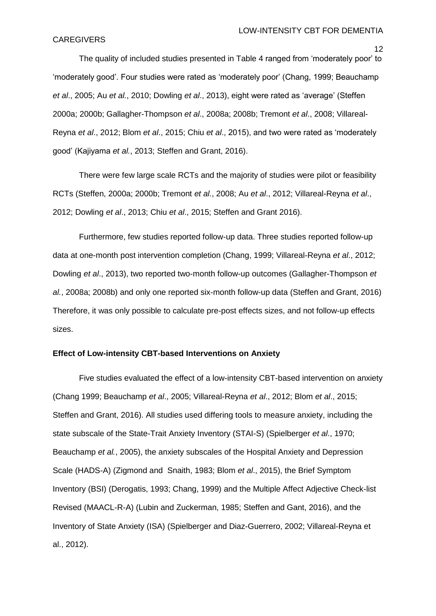## CAREGIVERS

The quality of included studies presented in Table 4 ranged from 'moderately poor' to 'moderately good'. Four studies were rated as 'moderately poor' (Chang, 1999; Beauchamp *et al*., 2005; Au *et al.*, 2010; Dowling *et al*., 2013), eight were rated as 'average' (Steffen 2000a; 2000b; Gallagher-Thompson *et al*., 2008a; 2008b; Tremont *et al*., 2008; Villareal-Reyna *et al*., 2012; Blom *et al*., 2015; Chiu *et al*., 2015), and two were rated as 'moderately good' (Kajiyama *et al.*, 2013; Steffen and Grant, 2016).

There were few large scale RCTs and the majority of studies were pilot or feasibility RCTs (Steffen, 2000a; 2000b; Tremont *et al*., 2008; Au *et al*., 2012; Villareal-Reyna *et al*., 2012; Dowling *et al*., 2013; Chiu *et al*., 2015; Steffen and Grant 2016).

Furthermore, few studies reported follow-up data. Three studies reported follow-up data at one-month post intervention completion (Chang, 1999; Villareal-Reyna *et al*., 2012; Dowling *et al*., 2013), two reported two-month follow-up outcomes (Gallagher-Thompson *et al.*, 2008a; 2008b) and only one reported six-month follow-up data (Steffen and Grant, 2016) Therefore, it was only possible to calculate pre-post effects sizes, and not follow-up effects sizes.

#### **Effect of Low-intensity CBT-based Interventions on Anxiety**

Five studies evaluated the effect of a low-intensity CBT-based intervention on anxiety (Chang 1999; Beauchamp *et al*., 2005; Villareal-Reyna *et al*., 2012; Blom *et al*., 2015; Steffen and Grant, 2016). All studies used differing tools to measure anxiety, including the state subscale of the State-Trait Anxiety Inventory (STAI-S) (Spielberger *et al*., 1970; Beauchamp *et al.*, 2005), the anxiety subscales of the Hospital Anxiety and Depression Scale (HADS-A) (Zigmond and Snaith, 1983; Blom *et al*., 2015), the Brief Symptom Inventory (BSI) (Derogatis, 1993; Chang, 1999) and the Multiple Affect Adjective Check-list Revised (MAACL-R-A) (Lubin and Zuckerman, 1985; Steffen and Gant, 2016), and the Inventory of State Anxiety (ISA) (Spielberger and Diaz-Guerrero, 2002; Villareal-Reyna et al., 2012).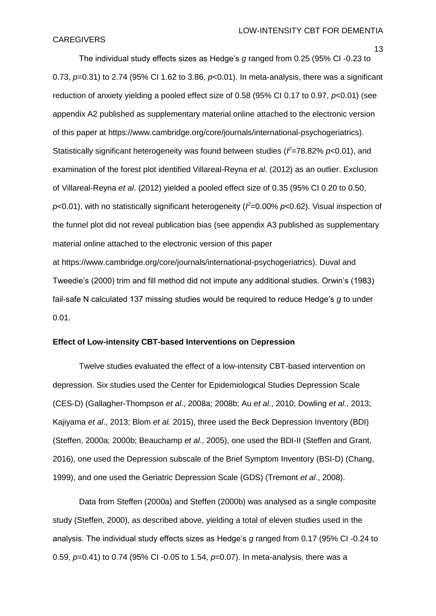#### **CAREGIVERS**

The individual study effects sizes as Hedge's *g* ranged from 0.25 (95% CI -0.23 to 0.73, *p*=0.31) to 2.74 (95% CI 1.62 to 3.86, *p*<0.01). In meta-analysis, there was a significant reduction of anxiety yielding a pooled effect size of 0.58 (95% CI 0.17 to 0.97, *p*<0.01) (see appendix A2 published as supplementary material online attached to the electronic version of this paper at https://www.cambridge.org/core/journals/international-psychogeriatrics). Statistically significant heterogeneity was found between studies ( $\ell$ =78.82% p<0.01), and examination of the forest plot identified Villareal-Reyna *et al*. (2012) as an outlier. Exclusion of Villareal-Reyna *et al*. (2012) yielded a pooled effect size of 0.35 (95% CI 0.20 to 0.50, *p*<0.01), with no statistically significant heterogeneity (*I <sup>2</sup>*=0.00% *p*<0.62). Visual inspection of the funnel plot did not reveal publication bias (see appendix A3 published as supplementary material online attached to the electronic version of this paper at https://www.cambridge.org/core/journals/international-psychogeriatrics). Duval and Tweedie's (2000) trim and fill method did not impute any additional studies. Orwin's (1983) fail-safe N calculated 137 missing studies would be required to reduce Hedge's *g* to under 0.01.

## **Effect of Low-intensity CBT-based Interventions on** D**epression**

Twelve studies evaluated the effect of a low-intensity CBT-based intervention on depression. Six studies used the Center for Epidemiological Studies Depression Scale (CES-D) (Gallagher-Thompson *et al*., 2008a; 2008b; Au *et al*., 2010; Dowling *et al*., 2013; Kajiyama *et al*., 2013; Blom *et al.* 2015), three used the Beck Depression Inventory (BDI) (Steffen, 2000a; 2000b; Beauchamp *et al*., 2005), one used the BDI-II (Steffen and Grant, 2016), one used the Depression subscale of the Brief Symptom Inventory (BSI-D) (Chang, 1999), and one used the Geriatric Depression Scale (GDS) (Tremont *et al*., 2008).

Data from Steffen (2000a) and Steffen (2000b) was analysed as a single composite study (Steffen, 2000), as described above, yielding a total of eleven studies used in the analysis. The individual study effects sizes as Hedge's *g* ranged from 0.17 (95% CI -0.24 to 0.59, *p*=0.41) to 0.74 (95% CI -0.05 to 1.54, *p*=0.07). In meta-analysis, there was a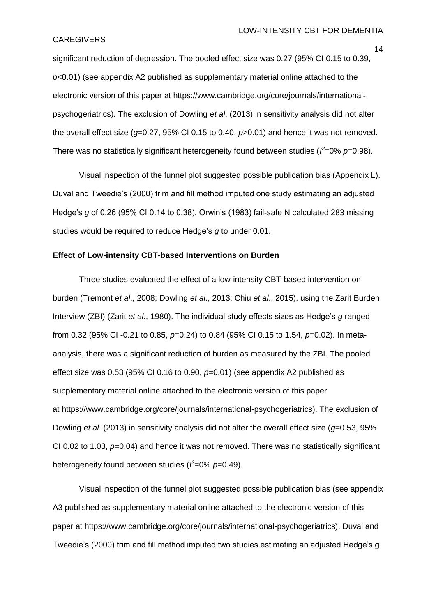## CAREGIVERS

significant reduction of depression. The pooled effect size was 0.27 (95% CI 0.15 to 0.39, *p*<0.01) (see appendix A2 published as supplementary material online attached to the electronic version of this paper at https://www.cambridge.org/core/journals/internationalpsychogeriatrics). The exclusion of Dowling *et al*. (2013) in sensitivity analysis did not alter the overall effect size (*g*=0.27, 95% CI 0.15 to 0.40, *p*>0.01) and hence it was not removed. There was no statistically significant heterogeneity found between studies ( $l^2$ =0%  $p$ =0.98).

Visual inspection of the funnel plot suggested possible publication bias (Appendix L). Duval and Tweedie's (2000) trim and fill method imputed one study estimating an adjusted Hedge's *g* of 0.26 (95% CI 0.14 to 0.38). Orwin's (1983) fail-safe N calculated 283 missing studies would be required to reduce Hedge's *g* to under 0.01.

## **Effect of Low-intensity CBT-based Interventions on Burden**

Three studies evaluated the effect of a low-intensity CBT-based intervention on burden (Tremont *et al*., 2008; Dowling *et al*., 2013; Chiu *et al*., 2015), using the Zarit Burden Interview (ZBI) (Zarit *et al*., 1980). The individual study effects sizes as Hedge's *g* ranged from 0.32 (95% CI -0.21 to 0.85, *p*=0.24) to 0.84 (95% CI 0.15 to 1.54, *p*=0.02). In metaanalysis, there was a significant reduction of burden as measured by the ZBI. The pooled effect size was 0.53 (95% CI 0.16 to 0.90, *p*=0.01) (see appendix A2 published as supplementary material online attached to the electronic version of this paper at https://www.cambridge.org/core/journals/international-psychogeriatrics). The exclusion of Dowling *et al*. (2013) in sensitivity analysis did not alter the overall effect size (*g*=0.53, 95% CI 0.02 to 1.03,  $p=0.04$ ) and hence it was not removed. There was no statistically significant heterogeneity found between studies ( $l^2$ =0% *p*=0.49).

Visual inspection of the funnel plot suggested possible publication bias (see appendix A3 published as supplementary material online attached to the electronic version of this paper at https://www.cambridge.org/core/journals/international-psychogeriatrics). Duval and Tweedie's (2000) trim and fill method imputed two studies estimating an adjusted Hedge's g

14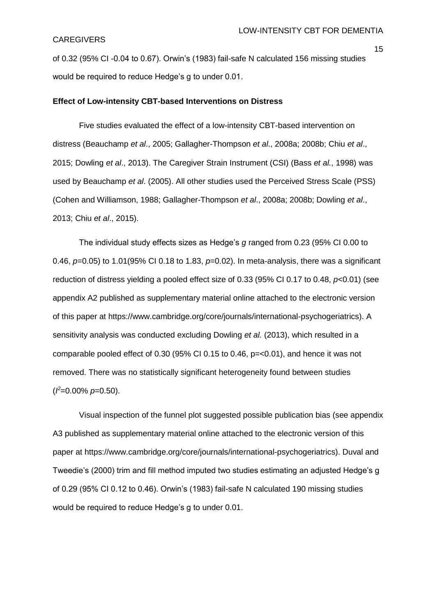#### CAREGIVERS

of 0.32 (95% CI -0.04 to 0.67). Orwin's (1983) fail-safe N calculated 156 missing studies would be required to reduce Hedge's g to under 0.01.

## **Effect of Low-intensity CBT-based Interventions on Distress**

Five studies evaluated the effect of a low-intensity CBT-based intervention on distress (Beauchamp *et al*., 2005; Gallagher-Thompson *et al*., 2008a; 2008b; Chiu *et al*., 2015; Dowling *et al*., 2013). The Caregiver Strain Instrument (CSI) (Bass *et al.*, 1998) was used by Beauchamp *et al*. (2005). All other studies used the Perceived Stress Scale (PSS) (Cohen and Williamson, 1988; Gallagher-Thompson *et al*., 2008a; 2008b; Dowling *et al*., 2013; Chiu *et al*., 2015).

The individual study effects sizes as Hedge's *g* ranged from 0.23 (95% CI 0.00 to 0.46, *p*=0.05) to 1.01(95% CI 0.18 to 1.83, *p*=0.02). In meta-analysis, there was a significant reduction of distress yielding a pooled effect size of 0.33 (95% CI 0.17 to 0.48, *p*<0.01) (see appendix A2 published as supplementary material online attached to the electronic version of this paper at https://www.cambridge.org/core/journals/international-psychogeriatrics). A sensitivity analysis was conducted excluding Dowling *et al.* (2013), which resulted in a comparable pooled effect of 0.30 (95% CI 0.15 to 0.46, p=<0.01), and hence it was not removed. There was no statistically significant heterogeneity found between studies (*I <sup>2</sup>*=0.00% *p*=0.50).

Visual inspection of the funnel plot suggested possible publication bias (see appendix A3 published as supplementary material online attached to the electronic version of this paper at https://www.cambridge.org/core/journals/international-psychogeriatrics). Duval and Tweedie's (2000) trim and fill method imputed two studies estimating an adjusted Hedge's g of 0.29 (95% CI 0.12 to 0.46). Orwin's (1983) fail-safe N calculated 190 missing studies would be required to reduce Hedge's g to under 0.01.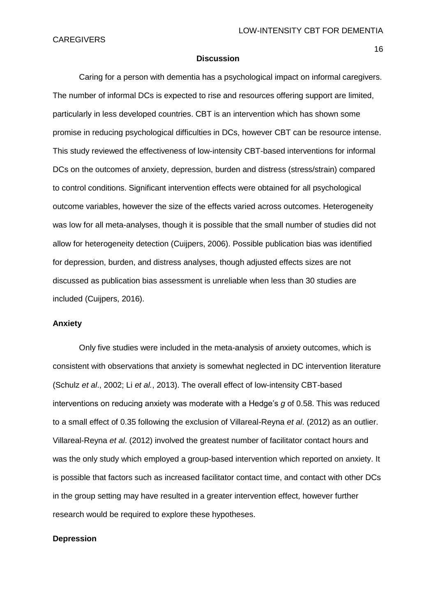#### **CAREGIVERS**

#### **Discussion**

Caring for a person with dementia has a psychological impact on informal caregivers. The number of informal DCs is expected to rise and resources offering support are limited, particularly in less developed countries. CBT is an intervention which has shown some promise in reducing psychological difficulties in DCs, however CBT can be resource intense. This study reviewed the effectiveness of low-intensity CBT-based interventions for informal DCs on the outcomes of anxiety, depression, burden and distress (stress/strain) compared to control conditions. Significant intervention effects were obtained for all psychological outcome variables, however the size of the effects varied across outcomes. Heterogeneity was low for all meta-analyses, though it is possible that the small number of studies did not allow for heterogeneity detection (Cuijpers, 2006). Possible publication bias was identified for depression, burden, and distress analyses, though adjusted effects sizes are not discussed as publication bias assessment is unreliable when less than 30 studies are included (Cuijpers, 2016).

### **Anxiety**

Only five studies were included in the meta-analysis of anxiety outcomes, which is consistent with observations that anxiety is somewhat neglected in DC intervention literature (Schulz *et al*., 2002; Li *et al.*, 2013). The overall effect of low-intensity CBT-based interventions on reducing anxiety was moderate with a Hedge's *g* of 0.58. This was reduced to a small effect of 0.35 following the exclusion of Villareal-Reyna *et al*. (2012) as an outlier. Villareal-Reyna *et al*. (2012) involved the greatest number of facilitator contact hours and was the only study which employed a group-based intervention which reported on anxiety. It is possible that factors such as increased facilitator contact time, and contact with other DCs in the group setting may have resulted in a greater intervention effect, however further research would be required to explore these hypotheses.

#### **Depression**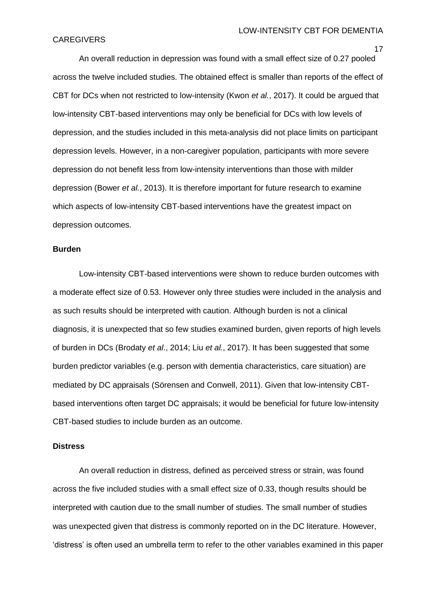#### **CAREGIVERS**

An overall reduction in depression was found with a small effect size of 0.27 pooled across the twelve included studies. The obtained effect is smaller than reports of the effect of CBT for DCs when not restricted to low-intensity (Kwon *et al.*, 2017). It could be argued that low-intensity CBT-based interventions may only be beneficial for DCs with low levels of depression, and the studies included in this meta-analysis did not place limits on participant depression levels. However, in a non-caregiver population, participants with more severe depression do not benefit less from low-intensity interventions than those with milder depression (Bower *et al.*, 2013). It is therefore important for future research to examine which aspects of low-intensity CBT-based interventions have the greatest impact on depression outcomes.

### **Burden**

Low-intensity CBT-based interventions were shown to reduce burden outcomes with a moderate effect size of 0.53. However only three studies were included in the analysis and as such results should be interpreted with caution. Although burden is not a clinical diagnosis, it is unexpected that so few studies examined burden, given reports of high levels of burden in DCs (Brodaty *et al*., 2014; Liu *et al.*, 2017). It has been suggested that some burden predictor variables (e.g. person with dementia characteristics, care situation) are mediated by DC appraisals (Sörensen and Conwell, 2011). Given that low-intensity CBTbased interventions often target DC appraisals; it would be beneficial for future low-intensity CBT-based studies to include burden as an outcome.

#### **Distress**

An overall reduction in distress, defined as perceived stress or strain, was found across the five included studies with a small effect size of 0.33, though results should be interpreted with caution due to the small number of studies. The small number of studies was unexpected given that distress is commonly reported on in the DC literature. However, 'distress' is often used an umbrella term to refer to the other variables examined in this paper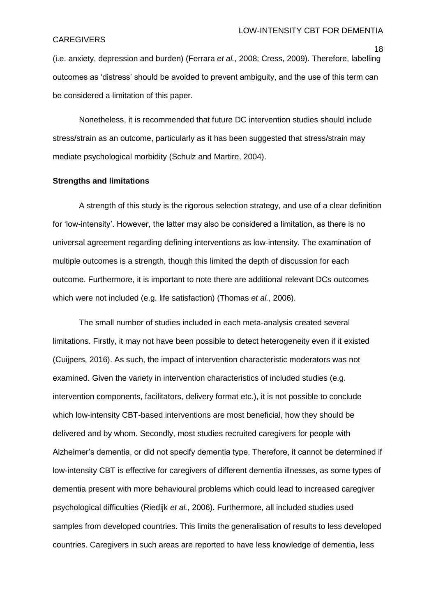## CAREGIVERS

(i.e. anxiety, depression and burden) (Ferrara *et al.*, 2008; Cress, 2009). Therefore, labelling outcomes as 'distress' should be avoided to prevent ambiguity, and the use of this term can be considered a limitation of this paper.

Nonetheless, it is recommended that future DC intervention studies should include stress/strain as an outcome, particularly as it has been suggested that stress/strain may mediate psychological morbidity (Schulz and Martire, 2004).

## **Strengths and limitations**

A strength of this study is the rigorous selection strategy, and use of a clear definition for 'low-intensity'. However, the latter may also be considered a limitation, as there is no universal agreement regarding defining interventions as low-intensity. The examination of multiple outcomes is a strength, though this limited the depth of discussion for each outcome. Furthermore, it is important to note there are additional relevant DCs outcomes which were not included (e.g. life satisfaction) (Thomas *et al.*, 2006).

The small number of studies included in each meta-analysis created several limitations. Firstly, it may not have been possible to detect heterogeneity even if it existed (Cuijpers, 2016). As such, the impact of intervention characteristic moderators was not examined. Given the variety in intervention characteristics of included studies (e.g. intervention components, facilitators, delivery format etc.), it is not possible to conclude which low-intensity CBT-based interventions are most beneficial, how they should be delivered and by whom. Secondly, most studies recruited caregivers for people with Alzheimer's dementia, or did not specify dementia type. Therefore, it cannot be determined if low-intensity CBT is effective for caregivers of different dementia illnesses, as some types of dementia present with more behavioural problems which could lead to increased caregiver psychological difficulties (Riedijk *et al.*, 2006). Furthermore, all included studies used samples from developed countries. This limits the generalisation of results to less developed countries. Caregivers in such areas are reported to have less knowledge of dementia, less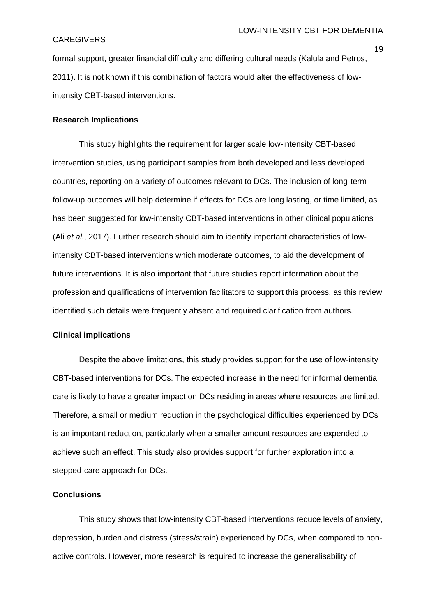#### **CAREGIVERS**

formal support, greater financial difficulty and differing cultural needs (Kalula and Petros, 2011). It is not known if this combination of factors would alter the effectiveness of lowintensity CBT-based interventions.

### **Research Implications**

This study highlights the requirement for larger scale low-intensity CBT-based intervention studies, using participant samples from both developed and less developed countries, reporting on a variety of outcomes relevant to DCs. The inclusion of long-term follow-up outcomes will help determine if effects for DCs are long lasting, or time limited, as has been suggested for low-intensity CBT-based interventions in other clinical populations (Ali *et al.*, 2017). Further research should aim to identify important characteristics of lowintensity CBT-based interventions which moderate outcomes, to aid the development of future interventions. It is also important that future studies report information about the profession and qualifications of intervention facilitators to support this process, as this review identified such details were frequently absent and required clarification from authors.

#### **Clinical implications**

Despite the above limitations, this study provides support for the use of low-intensity CBT-based interventions for DCs. The expected increase in the need for informal dementia care is likely to have a greater impact on DCs residing in areas where resources are limited. Therefore, a small or medium reduction in the psychological difficulties experienced by DCs is an important reduction, particularly when a smaller amount resources are expended to achieve such an effect. This study also provides support for further exploration into a stepped-care approach for DCs.

### **Conclusions**

This study shows that low-intensity CBT-based interventions reduce levels of anxiety, depression, burden and distress (stress/strain) experienced by DCs, when compared to nonactive controls. However, more research is required to increase the generalisability of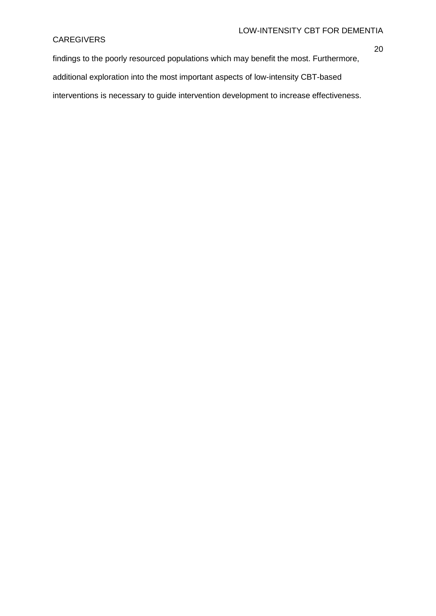# CAREGIVERS

findings to the poorly resourced populations which may benefit the most. Furthermore, additional exploration into the most important aspects of low-intensity CBT-based interventions is necessary to guide intervention development to increase effectiveness.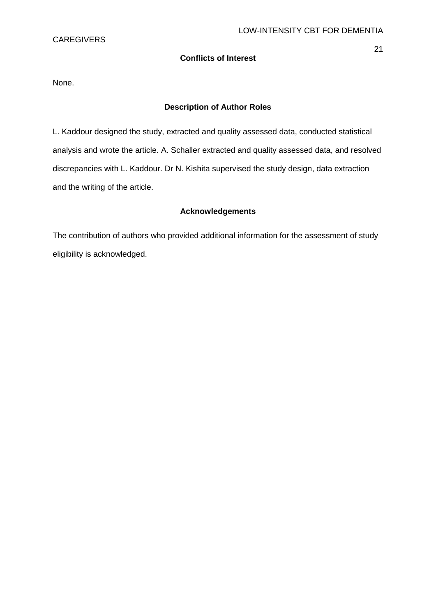## **Conflicts of Interest**

21

None.

## **Description of Author Roles**

L. Kaddour designed the study, extracted and quality assessed data, conducted statistical analysis and wrote the article. A. Schaller extracted and quality assessed data, and resolved discrepancies with L. Kaddour. Dr N. Kishita supervised the study design, data extraction and the writing of the article.

## **Acknowledgements**

The contribution of authors who provided additional information for the assessment of study eligibility is acknowledged.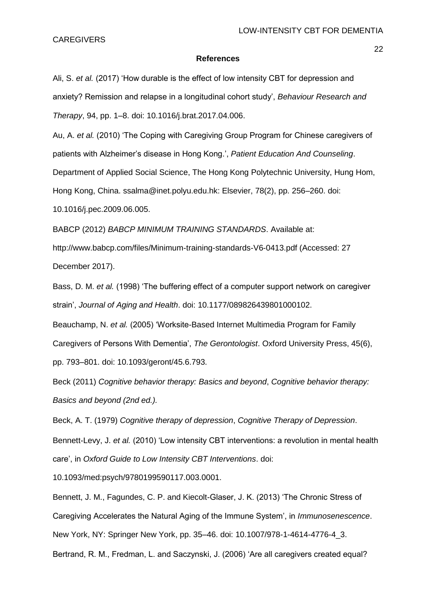#### **CAREGIVERS**

#### **References**

Ali, S. *et al.* (2017) 'How durable is the effect of low intensity CBT for depression and anxiety? Remission and relapse in a longitudinal cohort study', *Behaviour Research and Therapy*, 94, pp. 1–8. doi: 10.1016/j.brat.2017.04.006.

Au, A. *et al.* (2010) 'The Coping with Caregiving Group Program for Chinese caregivers of patients with Alzheimer's disease in Hong Kong.', *Patient Education And Counseling*. Department of Applied Social Science, The Hong Kong Polytechnic University, Hung Hom, Hong Kong, China. ssalma@inet.polyu.edu.hk: Elsevier, 78(2), pp. 256–260. doi:

10.1016/j.pec.2009.06.005.

BABCP (2012) *BABCP MINIMUM TRAINING STANDARDS*. Available at:

http://www.babcp.com/files/Minimum-training-standards-V6-0413.pdf (Accessed: 27 December 2017).

Bass, D. M. *et al.* (1998) 'The buffering effect of a computer support network on caregiver strain', *Journal of Aging and Health*. doi: 10.1177/089826439801000102.

Beauchamp, N. *et al.* (2005) 'Worksite-Based Internet Multimedia Program for Family Caregivers of Persons With Dementia', *The Gerontologist*. Oxford University Press, 45(6), pp. 793–801. doi: 10.1093/geront/45.6.793.

Beck (2011) *Cognitive behavior therapy: Basics and beyond*, *Cognitive behavior therapy: Basics and beyond (2nd ed.).*

Beck, A. T. (1979) *Cognitive therapy of depression*, *Cognitive Therapy of Depression*. Bennett-Levy, J. *et al.* (2010) 'Low intensity CBT interventions: a revolution in mental health care', in *Oxford Guide to Low Intensity CBT Interventions*. doi:

10.1093/med:psych/9780199590117.003.0001.

Bennett, J. M., Fagundes, C. P. and Kiecolt-Glaser, J. K. (2013) 'The Chronic Stress of Caregiving Accelerates the Natural Aging of the Immune System', in *Immunosenescence*. New York, NY: Springer New York, pp. 35–46. doi: 10.1007/978-1-4614-4776-4\_3.

Bertrand, R. M., Fredman, L. and Saczynski, J. (2006) 'Are all caregivers created equal?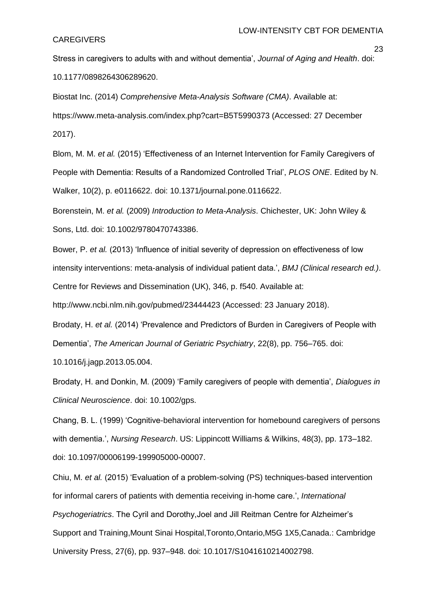### **CAREGIVERS**

Stress in caregivers to adults with and without dementia', *Journal of Aging and Health*. doi: 10.1177/0898264306289620.

Biostat Inc. (2014) *Comprehensive Meta-Analysis Software (CMA)*. Available at: https://www.meta-analysis.com/index.php?cart=B5T5990373 (Accessed: 27 December 2017).

Blom, M. M. *et al.* (2015) 'Effectiveness of an Internet Intervention for Family Caregivers of People with Dementia: Results of a Randomized Controlled Trial', *PLOS ONE*. Edited by N. Walker, 10(2), p. e0116622. doi: 10.1371/journal.pone.0116622.

Borenstein, M. *et al.* (2009) *Introduction to Meta-Analysis*. Chichester, UK: John Wiley & Sons, Ltd. doi: 10.1002/9780470743386.

Bower, P. *et al.* (2013) 'Influence of initial severity of depression on effectiveness of low intensity interventions: meta-analysis of individual patient data.', *BMJ (Clinical research ed.)*. Centre for Reviews and Dissemination (UK), 346, p. f540. Available at:

http://www.ncbi.nlm.nih.gov/pubmed/23444423 (Accessed: 23 January 2018).

Brodaty, H. *et al.* (2014) 'Prevalence and Predictors of Burden in Caregivers of People with Dementia', *The American Journal of Geriatric Psychiatry*, 22(8), pp. 756–765. doi: 10.1016/j.jagp.2013.05.004.

Brodaty, H. and Donkin, M. (2009) 'Family caregivers of people with dementia', *Dialogues in Clinical Neuroscience*. doi: 10.1002/gps.

Chang, B. L. (1999) 'Cognitive-behavioral intervention for homebound caregivers of persons with dementia.', *Nursing Research*. US: Lippincott Williams & Wilkins, 48(3), pp. 173–182. doi: 10.1097/00006199-199905000-00007.

Chiu, M. *et al.* (2015) 'Evaluation of a problem-solving (PS) techniques-based intervention for informal carers of patients with dementia receiving in-home care.', *International Psychogeriatrics*. The Cyril and Dorothy,Joel and Jill Reitman Centre for Alzheimer's Support and Training,Mount Sinai Hospital,Toronto,Ontario,M5G 1X5,Canada.: Cambridge University Press, 27(6), pp. 937–948. doi: 10.1017/S1041610214002798.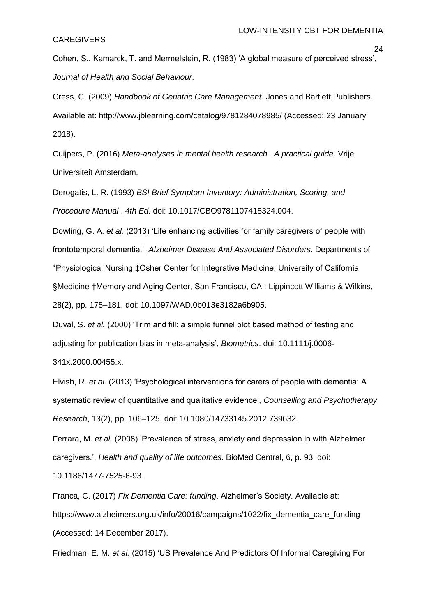## **CAREGIVERS**

Cohen, S., Kamarck, T. and Mermelstein, R. (1983) 'A global measure of perceived stress', *Journal of Health and Social Behaviour*.

Cress, C. (2009) *Handbook of Geriatric Care Management*. Jones and Bartlett Publishers. Available at: http://www.jblearning.com/catalog/9781284078985/ (Accessed: 23 January 2018).

Cuijpers, P. (2016) *Meta-analyses in mental health research . A practical guide*. Vrije Universiteit Amsterdam.

Derogatis, L. R. (1993) *BSI Brief Symptom Inventory: Administration, Scoring, and Procedure Manual* , *4th Ed*. doi: 10.1017/CBO9781107415324.004.

Dowling, G. A. *et al.* (2013) 'Life enhancing activities for family caregivers of people with frontotemporal dementia.', *Alzheimer Disease And Associated Disorders*. Departments of \*Physiological Nursing ‡Osher Center for Integrative Medicine, University of California §Medicine †Memory and Aging Center, San Francisco, CA.: Lippincott Williams & Wilkins, 28(2), pp. 175–181. doi: 10.1097/WAD.0b013e3182a6b905.

Duval, S. *et al.* (2000) 'Trim and fill: a simple funnel plot based method of testing and adjusting for publication bias in meta-analysis', *Biometrics*. doi: 10.1111/j.0006- 341x.2000.00455.x.

Elvish, R. *et al.* (2013) 'Psychological interventions for carers of people with dementia: A systematic review of quantitative and qualitative evidence', *Counselling and Psychotherapy Research*, 13(2), pp. 106–125. doi: 10.1080/14733145.2012.739632.

Ferrara, M. *et al.* (2008) 'Prevalence of stress, anxiety and depression in with Alzheimer caregivers.', *Health and quality of life outcomes*. BioMed Central, 6, p. 93. doi: 10.1186/1477-7525-6-93.

Franca, C. (2017) *Fix Dementia Care: funding*. Alzheimer's Society. Available at: https://www.alzheimers.org.uk/info/20016/campaigns/1022/fix\_dementia\_care\_funding (Accessed: 14 December 2017).

Friedman, E. M. *et al.* (2015) 'US Prevalence And Predictors Of Informal Caregiving For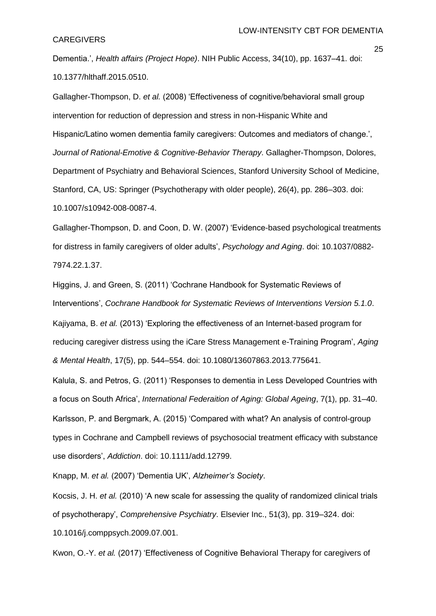### **CAREGIVERS**

Dementia.', *Health affairs (Project Hope)*. NIH Public Access, 34(10), pp. 1637–41. doi: 10.1377/hlthaff.2015.0510.

Gallagher-Thompson, D. *et al.* (2008) 'Effectiveness of cognitive/behavioral small group intervention for reduction of depression and stress in non-Hispanic White and Hispanic/Latino women dementia family caregivers: Outcomes and mediators of change.', *Journal of Rational-Emotive & Cognitive-Behavior Therapy*. Gallagher-Thompson, Dolores, Department of Psychiatry and Behavioral Sciences, Stanford University School of Medicine, Stanford, CA, US: Springer (Psychotherapy with older people), 26(4), pp. 286–303. doi: 10.1007/s10942-008-0087-4.

Gallagher-Thompson, D. and Coon, D. W. (2007) 'Evidence-based psychological treatments for distress in family caregivers of older adults', *Psychology and Aging*. doi: 10.1037/0882- 7974.22.1.37.

Higgins, J. and Green, S. (2011) 'Cochrane Handbook for Systematic Reviews of Interventions', *Cochrane Handbook for Systematic Reviews of Interventions Version 5.1.0*. Kajiyama, B. *et al.* (2013) 'Exploring the effectiveness of an Internet-based program for reducing caregiver distress using the iCare Stress Management e-Training Program', *Aging & Mental Health*, 17(5), pp. 544–554. doi: 10.1080/13607863.2013.775641.

Kalula, S. and Petros, G. (2011) 'Responses to dementia in Less Developed Countries with a focus on South Africa', *International Federaition of Aging: Global Ageing*, 7(1), pp. 31–40. Karlsson, P. and Bergmark, A. (2015) 'Compared with what? An analysis of control-group types in Cochrane and Campbell reviews of psychosocial treatment efficacy with substance use disorders', *Addiction*. doi: 10.1111/add.12799.

Knapp, M. *et al.* (2007) 'Dementia UK', *Alzheimer's Society*.

Kocsis, J. H. *et al.* (2010) 'A new scale for assessing the quality of randomized clinical trials of psychotherapy', *Comprehensive Psychiatry*. Elsevier Inc., 51(3), pp. 319–324. doi: 10.1016/j.comppsych.2009.07.001.

Kwon, O.-Y. *et al.* (2017) 'Effectiveness of Cognitive Behavioral Therapy for caregivers of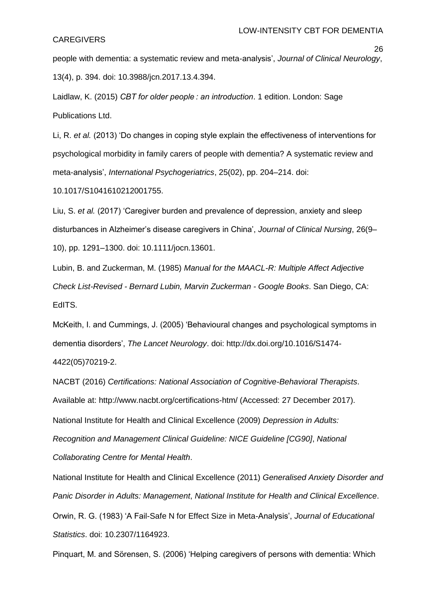### **CAREGIVERS**

people with dementia: a systematic review and meta-analysis', *Journal of Clinical Neurology*, 13(4), p. 394. doi: 10.3988/jcn.2017.13.4.394.

Laidlaw, K. (2015) *CBT for older people : an introduction*. 1 edition. London: Sage Publications Ltd.

Li, R. *et al.* (2013) 'Do changes in coping style explain the effectiveness of interventions for psychological morbidity in family carers of people with dementia? A systematic review and meta-analysis', *International Psychogeriatrics*, 25(02), pp. 204–214. doi:

10.1017/S1041610212001755.

Liu, S. *et al.* (2017) 'Caregiver burden and prevalence of depression, anxiety and sleep disturbances in Alzheimer's disease caregivers in China', *Journal of Clinical Nursing*, 26(9– 10), pp. 1291–1300. doi: 10.1111/jocn.13601.

Lubin, B. and Zuckerman, M. (1985) *Manual for the MAACL-R: Multiple Affect Adjective Check List-Revised - Bernard Lubin, Marvin Zuckerman - Google Books*. San Diego, CA: EdITS.

McKeith, I. and Cummings, J. (2005) 'Behavioural changes and psychological symptoms in dementia disorders', *The Lancet Neurology*. doi: http://dx.doi.org/10.1016/S1474- 4422(05)70219-2.

NACBT (2016) *Certifications: National Association of Cognitive-Behavioral Therapists*. Available at: http://www.nacbt.org/certifications-htm/ (Accessed: 27 December 2017). National Institute for Health and Clinical Excellence (2009) *Depression in Adults: Recognition and Management Clinical Guideline: NICE Guideline [CG90]*, *National Collaborating Centre for Mental Health*.

National Institute for Health and Clinical Excellence (2011) *Generalised Anxiety Disorder and Panic Disorder in Adults: Management*, *National Institute for Health and Clinical Excellence*. Orwin, R. G. (1983) 'A Fail-Safe N for Effect Size in Meta-Analysis', *Journal of Educational Statistics*. doi: 10.2307/1164923.

Pinquart, M. and Sörensen, S. (2006) 'Helping caregivers of persons with dementia: Which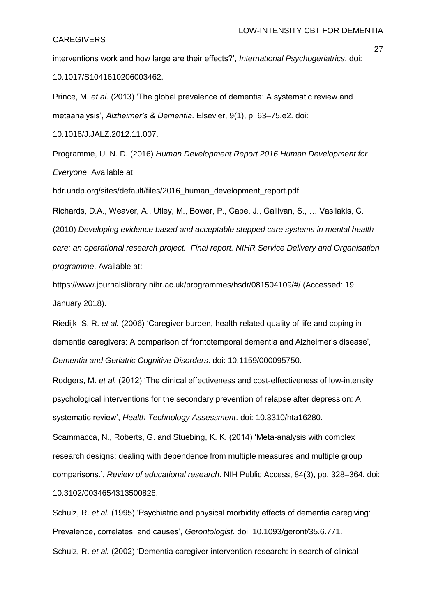#### **CAREGIVERS**

interventions work and how large are their effects?', *International Psychogeriatrics*. doi: 10.1017/S1041610206003462.

Prince, M. *et al.* (2013) 'The global prevalence of dementia: A systematic review and metaanalysis', *Alzheimer's & Dementia*. Elsevier, 9(1), p. 63–75.e2. doi: 10.1016/J.JALZ.2012.11.007.

Programme, U. N. D. (2016) *Human Development Report 2016 Human Development for Everyone*. Available at:

hdr.undp.org/sites/default/files/2016\_human\_development\_report.pdf.

Richards, D.A., Weaver, A., Utley, M., Bower, P., Cape, J., Gallivan, S., … Vasilakis, C. (2010) *Developing evidence based and acceptable stepped care systems in mental health care: an operational research project. Final report. NIHR Service Delivery and Organisation programme*. Available at:

https://www.journalslibrary.nihr.ac.uk/programmes/hsdr/081504109/#/ (Accessed: 19 January 2018).

Riedijk, S. R. *et al.* (2006) 'Caregiver burden, health-related quality of life and coping in dementia caregivers: A comparison of frontotemporal dementia and Alzheimer's disease', *Dementia and Geriatric Cognitive Disorders*. doi: 10.1159/000095750.

Rodgers, M. *et al.* (2012) 'The clinical effectiveness and cost-effectiveness of low-intensity psychological interventions for the secondary prevention of relapse after depression: A systematic review', *Health Technology Assessment*. doi: 10.3310/hta16280.

Scammacca, N., Roberts, G. and Stuebing, K. K. (2014) 'Meta-analysis with complex research designs: dealing with dependence from multiple measures and multiple group comparisons.', *Review of educational research*. NIH Public Access, 84(3), pp. 328–364. doi: 10.3102/0034654313500826.

Schulz, R. *et al.* (1995) 'Psychiatric and physical morbidity effects of dementia caregiving: Prevalence, correlates, and causes', *Gerontologist*. doi: 10.1093/geront/35.6.771. Schulz, R. *et al.* (2002) 'Dementia caregiver intervention research: in search of clinical

27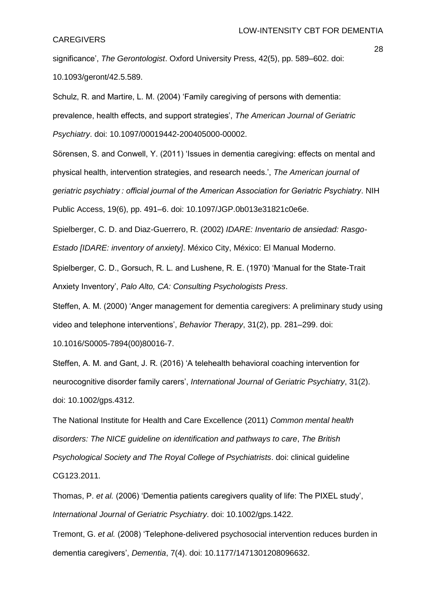## **CAREGIVERS**

significance', *The Gerontologist*. Oxford University Press, 42(5), pp. 589–602. doi: 10.1093/geront/42.5.589.

Schulz, R. and Martire, L. M. (2004) 'Family caregiving of persons with dementia: prevalence, health effects, and support strategies', *The American Journal of Geriatric Psychiatry*. doi: 10.1097/00019442-200405000-00002.

Sörensen, S. and Conwell, Y. (2011) 'Issues in dementia caregiving: effects on mental and physical health, intervention strategies, and research needs.', *The American journal of geriatric psychiatry : official journal of the American Association for Geriatric Psychiatry*. NIH Public Access, 19(6), pp. 491–6. doi: 10.1097/JGP.0b013e31821c0e6e.

Spielberger, C. D. and Diaz-Guerrero, R. (2002) *IDARE: Inventario de ansiedad: Rasgo-Estado [IDARE: inventory of anxiety]*. México City, México: El Manual Moderno.

Spielberger, C. D., Gorsuch, R. L. and Lushene, R. E. (1970) 'Manual for the State-Trait Anxiety Inventory', *Palo Alto, CA: Consulting Psychologists Press*.

Steffen, A. M. (2000) 'Anger management for dementia caregivers: A preliminary study using video and telephone interventions', *Behavior Therapy*, 31(2), pp. 281–299. doi: 10.1016/S0005-7894(00)80016-7.

Steffen, A. M. and Gant, J. R. (2016) 'A telehealth behavioral coaching intervention for neurocognitive disorder family carers', *International Journal of Geriatric Psychiatry*, 31(2). doi: 10.1002/gps.4312.

The National Institute for Health and Care Excellence (2011) *Common mental health disorders: The NICE guideline on identification and pathways to care*, *The British Psychological Society and The Royal College of Psychiatrists*. doi: clinical guideline CG123.2011.

Thomas, P. *et al.* (2006) 'Dementia patients caregivers quality of life: The PIXEL study', *International Journal of Geriatric Psychiatry*. doi: 10.1002/gps.1422.

Tremont, G. *et al.* (2008) 'Telephone-delivered psychosocial intervention reduces burden in dementia caregivers', *Dementia*, 7(4). doi: 10.1177/1471301208096632.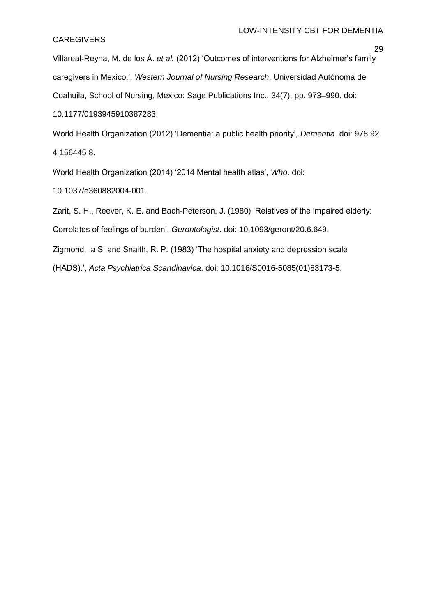## **CAREGIVERS**

Villareal-Reyna, M. de los Á. *et al.* (2012) 'Outcomes of interventions for Alzheimer's family caregivers in Mexico.', *Western Journal of Nursing Research*. Universidad Autónoma de Coahuila, School of Nursing, Mexico: Sage Publications Inc., 34(7), pp. 973–990. doi: 10.1177/0193945910387283.

World Health Organization (2012) 'Dementia: a public health priority', *Dementia*. doi: 978 92 4 156445 8.

World Health Organization (2014) '2014 Mental health atlas', *Who*. doi:

10.1037/e360882004-001.

Zarit, S. H., Reever, K. E. and Bach-Peterson, J. (1980) 'Relatives of the impaired elderly: Correlates of feelings of burden', *Gerontologist*. doi: 10.1093/geront/20.6.649.

Zigmond, a S. and Snaith, R. P. (1983) 'The hospital anxiety and depression scale

(HADS).', *Acta Psychiatrica Scandinavica*. doi: 10.1016/S0016-5085(01)83173-5.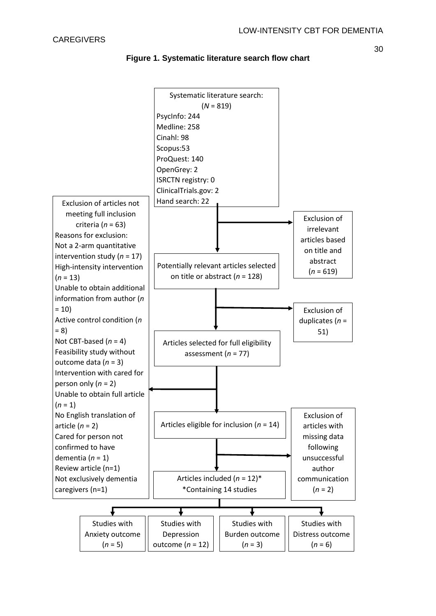

**Figure 1. Systematic literature search flow chart**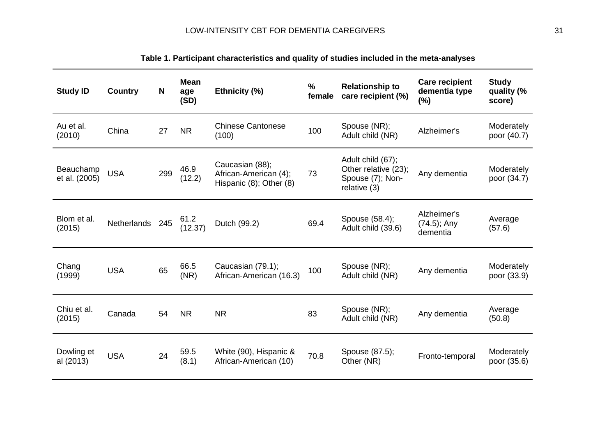| <b>Study ID</b>            | Country            | N   | <b>Mean</b><br>age<br>(SD) | $\frac{9}{6}$<br>Ethnicity (%)<br>female                            |      | <b>Relationship to</b><br>care recipient (%)                                  | <b>Care recipient</b><br>dementia type<br>$(\% )$ | <b>Study</b><br>quality (%<br>score) |
|----------------------------|--------------------|-----|----------------------------|---------------------------------------------------------------------|------|-------------------------------------------------------------------------------|---------------------------------------------------|--------------------------------------|
| Au et al.<br>(2010)        | China              | 27  | <b>NR</b>                  | <b>Chinese Cantonese</b><br>(100)                                   | 100  | Spouse (NR);<br>Adult child (NR)                                              | Alzheimer's                                       | Moderately<br>poor (40.7)            |
| Beauchamp<br>et al. (2005) | <b>USA</b>         | 299 | 46.9<br>(12.2)             | Caucasian (88);<br>African-American (4);<br>Hispanic (8); Other (8) | 73   | Adult child (67);<br>Other relative (23);<br>Spouse (7); Non-<br>relative (3) | Any dementia                                      | Moderately<br>poor (34.7)            |
| Blom et al.<br>(2015)      | <b>Netherlands</b> | 245 | 61.2<br>(12.37)            | Dutch (99.2)                                                        | 69.4 | Spouse (58.4);<br>Adult child (39.6)                                          | Alzheimer's<br>$(74.5)$ ; Any<br>dementia         | Average<br>(57.6)                    |
| Chang<br>(1999)            | <b>USA</b>         | 65  | 66.5<br>(NR)               | Caucasian (79.1);<br>African-American (16.3)                        | 100  | Spouse (NR);<br>Adult child (NR)                                              | Any dementia                                      | Moderately<br>poor (33.9)            |
| Chiu et al.<br>(2015)      | Canada             | 54  | <b>NR</b>                  | <b>NR</b>                                                           | 83   | Spouse (NR);<br>Adult child (NR)                                              | Any dementia                                      | Average<br>(50.8)                    |
| Dowling et<br>al (2013)    | <b>USA</b>         | 24  | 59.5<br>(8.1)              | White (90), Hispanic &<br>African-American (10)                     | 70.8 | Spouse (87.5);<br>Other (NR)                                                  | Fronto-temporal                                   | Moderately<br>poor (35.6)            |

**Table 1. Participant characteristics and quality of studies included in the meta-analyses**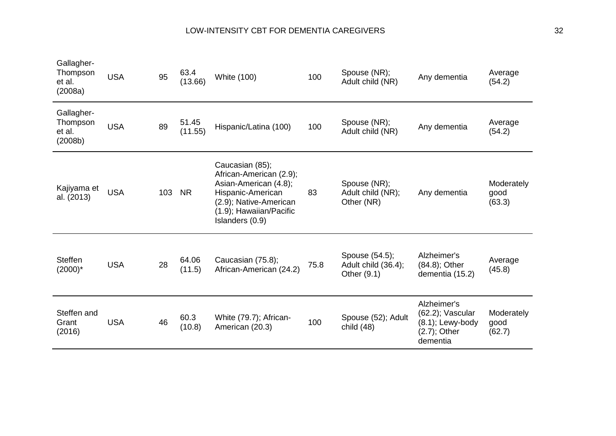| Gallagher-<br>Thompson<br>et al.<br>(2008a) | <b>USA</b> | 95  | 63.4<br>(13.66)  | White (100)                                                                                                                                                      | 100  | Spouse (NR);<br>Adult child (NR)                     | Any dementia                                                                          | Average<br>(54.2)            |
|---------------------------------------------|------------|-----|------------------|------------------------------------------------------------------------------------------------------------------------------------------------------------------|------|------------------------------------------------------|---------------------------------------------------------------------------------------|------------------------------|
| Gallagher-<br>Thompson<br>et al.<br>(2008b) | <b>USA</b> | 89  | 51.45<br>(11.55) | Hispanic/Latina (100)                                                                                                                                            | 100  | Spouse (NR);<br>Adult child (NR)                     | Any dementia                                                                          | Average<br>(54.2)            |
| Kajiyama et<br>al. (2013)                   | <b>USA</b> | 103 | <b>NR</b>        | Caucasian (85);<br>African-American (2.9);<br>Asian-American (4.8);<br>Hispanic-American<br>(2.9); Native-American<br>(1.9); Hawaiian/Pacific<br>Islanders (0.9) | 83   | Spouse (NR);<br>Adult child (NR);<br>Other (NR)      | Any dementia                                                                          | Moderately<br>good<br>(63.3) |
| <b>Steffen</b><br>$(2000)^*$                | <b>USA</b> | 28  | 64.06<br>(11.5)  | Caucasian (75.8);<br>African-American (24.2)                                                                                                                     | 75.8 | Spouse (54.5);<br>Adult child (36.4);<br>Other (9.1) | Alzheimer's<br>(84.8); Other<br>dementia (15.2)                                       | Average<br>(45.8)            |
| Steffen and<br>Grant<br>(2016)              | <b>USA</b> | 46  | 60.3<br>(10.8)   | White (79.7); African-<br>American (20.3)                                                                                                                        | 100  | Spouse (52); Adult<br>child (48)                     | Alzheimer's<br>$(62.2)$ ; Vascular<br>$(8.1)$ ; Lewy-body<br>(2.7); Other<br>dementia | Moderately<br>good<br>(62.7) |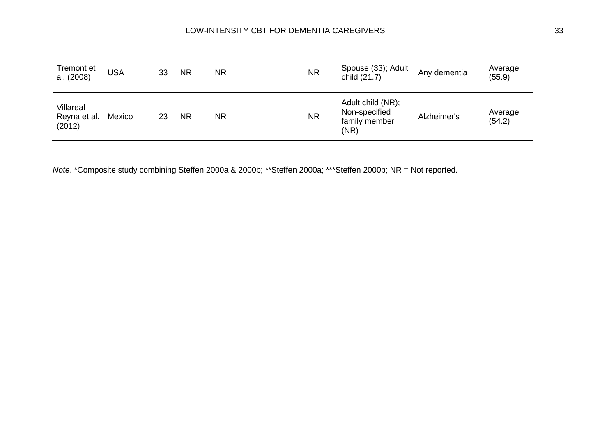| Tremont et<br>al. (2008)             | <b>USA</b> | 33 | <b>NR</b> | <b>NR</b> | <b>NR</b> | Spouse (33); Adult<br>child (21.7)                          | Any dementia | Average<br>(55.9) |
|--------------------------------------|------------|----|-----------|-----------|-----------|-------------------------------------------------------------|--------------|-------------------|
| Villareal-<br>Reyna et al.<br>(2012) | Mexico     | 23 | <b>NR</b> | <b>NR</b> | <b>NR</b> | Adult child (NR);<br>Non-specified<br>family member<br>(NR) | Alzheimer's  | Average<br>(54.2) |

*Note*. \*Composite study combining Steffen 2000a & 2000b; \*\*Steffen 2000a; \*\*\*Steffen 2000b; NR = Not reported.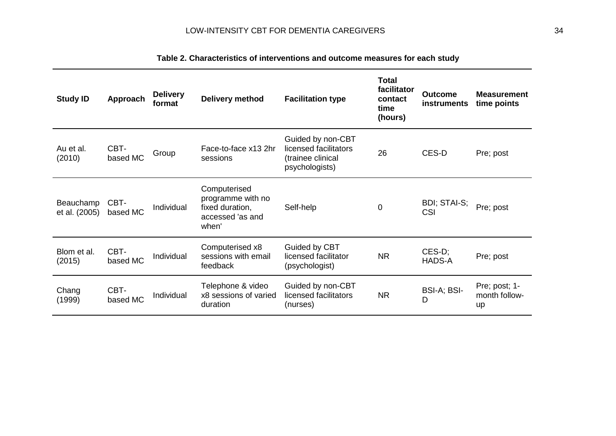| <b>Study ID</b>            | Approach         | <b>Delivery</b><br>format | Delivery method                                                                   | <b>Facilitation type</b>                                                          | <b>Total</b><br>facilitator<br>contact<br>time<br>(hours) | <b>Outcome</b><br><b>instruments</b> | <b>Measurement</b><br>time points    |
|----------------------------|------------------|---------------------------|-----------------------------------------------------------------------------------|-----------------------------------------------------------------------------------|-----------------------------------------------------------|--------------------------------------|--------------------------------------|
| Au et al.<br>(2010)        | CBT-<br>based MC | Group                     | Face-to-face x13 2hr<br>sessions                                                  | Guided by non-CBT<br>licensed facilitators<br>(trainee clinical<br>psychologists) | 26                                                        | CES-D                                | Pre; post                            |
| Beauchamp<br>et al. (2005) | CBT-<br>based MC | Individual                | Computerised<br>programme with no<br>fixed duration,<br>accessed 'as and<br>when' | Self-help                                                                         | 0                                                         | BDI; STAI-S;<br><b>CSI</b>           | Pre; post                            |
| Blom et al.<br>(2015)      | CBT-<br>based MC | Individual                | Computerised x8<br>sessions with email<br>feedback                                | Guided by CBT<br>licensed facilitator<br>(psychologist)                           | <b>NR</b>                                                 | CES-D;<br><b>HADS-A</b>              | Pre; post                            |
| Chang<br>(1999)            | CBT-<br>based MC | Individual                | Telephone & video<br>x8 sessions of varied<br>duration                            | Guided by non-CBT<br>licensed facilitators<br>(nurses)                            | <b>NR</b>                                                 | BSI-A; BSI-<br>D                     | Pre; post; 1-<br>month follow-<br>up |

**Table 2. Characteristics of interventions and outcome measures for each study**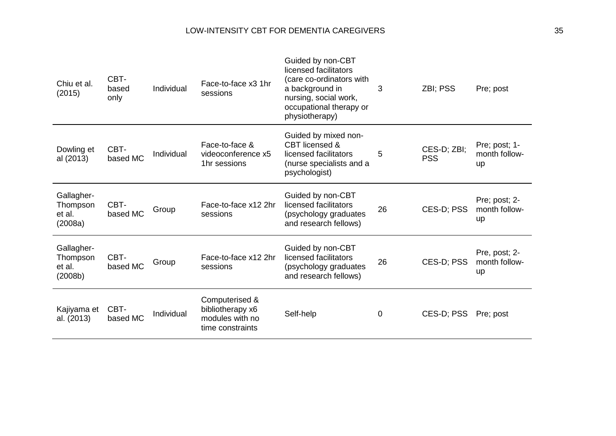| Chiu et al.<br>(2015)                       | CBT-<br>based<br>only | Individual | Face-to-face x3 1hr<br>sessions                                                                                                                                             | Guided by non-CBT<br>licensed facilitators<br>(care co-ordinators with<br>a background in<br>nursing, social work,<br>occupational therapy or<br>physiotherapy) | 3           | ZBI; PSS                  | Pre; post                            |
|---------------------------------------------|-----------------------|------------|-----------------------------------------------------------------------------------------------------------------------------------------------------------------------------|-----------------------------------------------------------------------------------------------------------------------------------------------------------------|-------------|---------------------------|--------------------------------------|
| Dowling et<br>al (2013)                     | CBT-<br>based MC      | Individual | Guided by mixed non-<br><b>CBT</b> licensed &<br>Face-to-face &<br>videoconference x5<br>licensed facilitators<br>1hr sessions<br>(nurse specialists and a<br>psychologist) |                                                                                                                                                                 | 5           | CES-D; ZBI;<br><b>PSS</b> | Pre; post; 1-<br>month follow-<br>up |
| Gallagher-<br>Thompson<br>et al.<br>(2008a) | CBT-<br>based MC      | Group      | Face-to-face x12 2hr<br>sessions                                                                                                                                            | Guided by non-CBT<br>licensed facilitators<br>26<br>(psychology graduates<br>and research fellows)                                                              |             | CES-D: PSS                | Pre; post; 2-<br>month follow-<br>up |
| Gallagher-<br>Thompson<br>et al.<br>(2008b) | CBT-<br>based MC      | Group      | Face-to-face x12 2hr<br>sessions                                                                                                                                            | Guided by non-CBT<br>licensed facilitators<br>(psychology graduates<br>and research fellows)                                                                    | 26          | CES-D; PSS                | Pre, post; 2-<br>month follow-<br>up |
| Kajiyama et<br>al. (2013)                   | CBT-<br>based MC      | Individual | Computerised &<br>bibliotherapy x6<br>modules with no<br>time constraints                                                                                                   | Self-help                                                                                                                                                       | $\mathbf 0$ | CES-D: PSS                | Pre; post                            |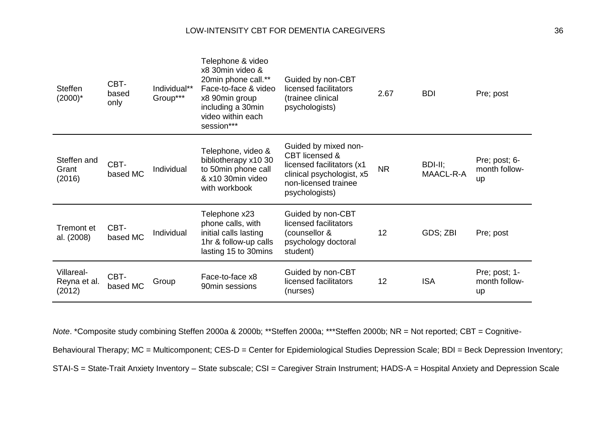## LOW-INTENSITY CBT FOR DEMENTIA CAREGIVERS 36

| <b>Steffen</b><br>$(2000)^*$         | CBT-<br>based<br>only | Individual**<br>Group*** | Telephone & video<br>x8 30min video &<br>20min phone call.**<br>Face-to-face & video<br>x8 90min group<br>including a 30min<br>video within each<br>session*** | Guided by non-CBT<br>licensed facilitators<br>(trainee clinical<br>psychologists)                                                                       | 2.67            | <b>BDI</b>           | Pre; post                            |
|--------------------------------------|-----------------------|--------------------------|----------------------------------------------------------------------------------------------------------------------------------------------------------------|---------------------------------------------------------------------------------------------------------------------------------------------------------|-----------------|----------------------|--------------------------------------|
| Steffen and<br>Grant<br>(2016)       | CBT-<br>based MC      | Individual               | Telephone, video &<br>bibliotherapy x10 30<br>to 50min phone call<br>& x10 30min video<br>with workbook                                                        | Guided by mixed non-<br>CBT licensed &<br>licensed facilitators (x1<br><b>NR</b><br>clinical psychologist, x5<br>non-licensed trainee<br>psychologists) |                 | BDI-II;<br>MAACL-R-A | Pre; post; 6-<br>month follow-<br>up |
| Tremont et<br>al. (2008)             | CBT-<br>based MC      | Individual               | Telephone x23<br>phone calls, with<br>initial calls lasting<br>1hr & follow-up calls<br>lasting 15 to 30mins                                                   | Guided by non-CBT<br>licensed facilitators<br>(counsellor &<br>psychology doctoral<br>student)                                                          | 12              | GDS; ZBI             | Pre; post                            |
| Villareal-<br>Reyna et al.<br>(2012) | CBT-<br>based MC      | Group                    | Face-to-face x8<br>90min sessions                                                                                                                              | Guided by non-CBT<br>licensed facilitators<br>(nurses)                                                                                                  | 12 <sup>2</sup> | <b>ISA</b>           | Pre; post; 1-<br>month follow-<br>up |

*Note*. \*Composite study combining Steffen 2000a & 2000b; \*\*Steffen 2000a; \*\*\*Steffen 2000b; NR = Not reported; CBT = Cognitive-

Behavioural Therapy; MC = Multicomponent; CES-D = Center for Epidemiological Studies Depression Scale; BDI = Beck Depression Inventory;

STAI-S = State-Trait Anxiety Inventory – State subscale; CSI = Caregiver Strain Instrument; HADS-A = Hospital Anxiety and Depression Scale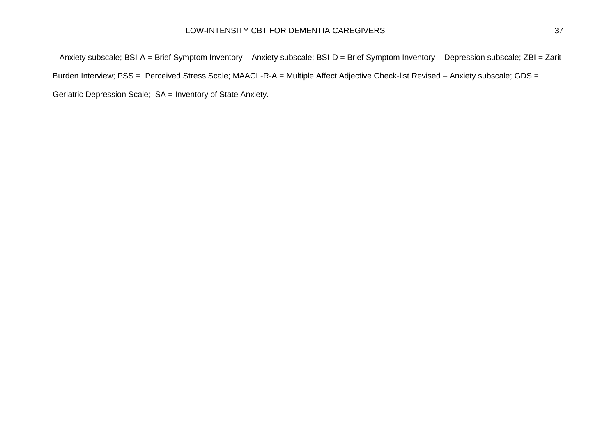## LOW-INTENSITY CBT FOR DEMENTIA CAREGIVERS 37

– Anxiety subscale; BSI-A = Brief Symptom Inventory – Anxiety subscale; BSI-D = Brief Symptom Inventory – Depression subscale; ZBI = Zarit Burden Interview; PSS = Perceived Stress Scale; MAACL-R-A = Multiple Affect Adjective Check-list Revised – Anxiety subscale; GDS = Geriatric Depression Scale; ISA = Inventory of State Anxiety.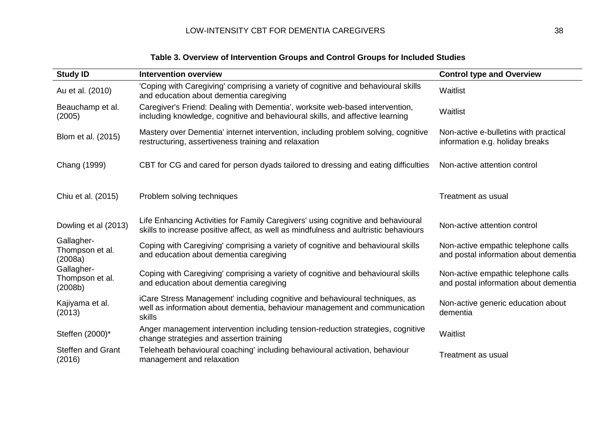# **Table 3. Overview of Intervention Groups and Control Groups for Included Studies**

| <b>Study ID</b>                          | <b>Intervention overview</b>                                                                                                                                             | <b>Control type and Overview</b>                                             |
|------------------------------------------|--------------------------------------------------------------------------------------------------------------------------------------------------------------------------|------------------------------------------------------------------------------|
| Au et al. (2010)                         | 'Coping with Caregiving' comprising a variety of cognitive and behavioural skills<br>and education about dementia caregiving                                             | Waitlist                                                                     |
| Beauchamp et al.<br>(2005)               | Caregiver's Friend: Dealing with Dementia', worksite web-based intervention,<br>including knowledge, cognitive and behavioural skills, and affective learning            | Waitlist                                                                     |
| Blom et al. (2015)                       | Mastery over Dementia' internet intervention, including problem solving, cognitive<br>restructuring, assertiveness training and relaxation                               | Non-active e-bulletins with practical<br>information e.g. holiday breaks     |
| Chang (1999)                             | CBT for CG and cared for person dyads tailored to dressing and eating difficulties                                                                                       | Non-active attention control                                                 |
| Chiu et al. (2015)                       | Problem solving techniques                                                                                                                                               | Treatment as usual                                                           |
| Dowling et al (2013)                     | Life Enhancing Activities for Family Caregivers' using cognitive and behavioural<br>skills to increase positive affect, as well as mindfulness and aultristic behaviours | Non-active attention control                                                 |
| Gallagher-<br>Thompson et al.<br>(2008a) | Coping with Caregiving' comprising a variety of cognitive and behavioural skills<br>and education about dementia caregiving                                              | Non-active empathic telephone calls<br>and postal information about dementia |
| Gallagher-<br>Thompson et al.<br>(2008b) | Coping with Caregiving' comprising a variety of cognitive and behavioural skills<br>and education about dementia caregiving                                              | Non-active empathic telephone calls<br>and postal information about dementia |
| Kajiyama et al.<br>(2013)                | iCare Stress Management' including cognitive and behavioural techniques, as<br>well as information about dementia, behaviour management and communication<br>skills      | Non-active generic education about<br>dementia                               |
| Steffen (2000)*                          | Anger management intervention including tension-reduction strategies, cognitive<br>change strategies and assertion training                                              | Waitlist                                                                     |
| <b>Steffen and Grant</b><br>(2016)       | Teleheath behavioural coaching' including behavioural activation, behaviour<br>management and relaxation                                                                 | <b>Treatment as usual</b>                                                    |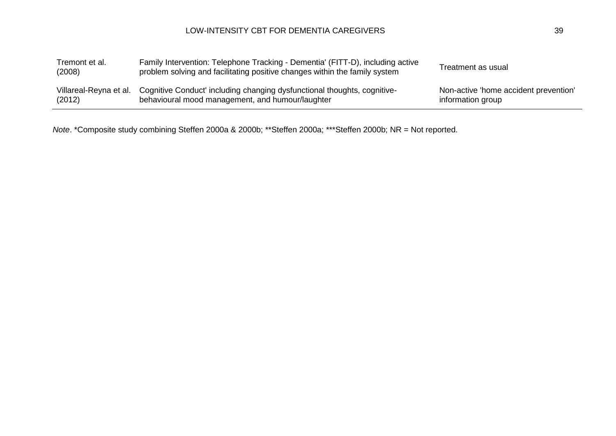| Tremont et al.<br>(2008) | Family Intervention: Telephone Tracking - Dementia' (FITT-D), including active<br>problem solving and facilitating positive changes within the family system | Treatment as usual                    |
|--------------------------|--------------------------------------------------------------------------------------------------------------------------------------------------------------|---------------------------------------|
| Villareal-Reyna et al.   | Cognitive Conduct' including changing dysfunctional thoughts, cognitive-                                                                                     | Non-active 'home accident prevention' |
| (2012)                   | behavioural mood management, and humour/laughter                                                                                                             | information group                     |

*Note*. \*Composite study combining Steffen 2000a & 2000b; \*\*Steffen 2000a; \*\*\*Steffen 2000b; NR = Not reported.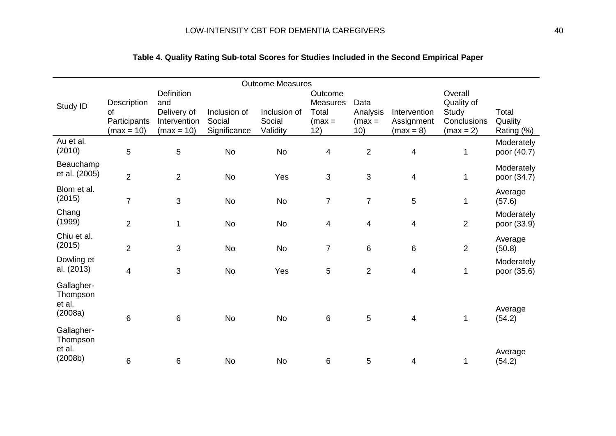|                                             |                                                   |                                                                         |                                        | <b>Outcome Measures</b>            |                                                        |                                     |                                           |                                                              |                                |
|---------------------------------------------|---------------------------------------------------|-------------------------------------------------------------------------|----------------------------------------|------------------------------------|--------------------------------------------------------|-------------------------------------|-------------------------------------------|--------------------------------------------------------------|--------------------------------|
| Study ID                                    | Description<br>of<br>Participants<br>$(max = 10)$ | <b>Definition</b><br>and<br>Delivery of<br>Intervention<br>$(max = 10)$ | Inclusion of<br>Social<br>Significance | Inclusion of<br>Social<br>Validity | Outcome<br><b>Measures</b><br>Total<br>$(max =$<br>12) | Data<br>Analysis<br>$(max =$<br>10) | Intervention<br>Assignment<br>$(max = 8)$ | Overall<br>Quality of<br>Study<br>Conclusions<br>$(max = 2)$ | Total<br>Quality<br>Rating (%) |
| Au et al.<br>(2010)                         | 5                                                 | 5                                                                       | <b>No</b>                              | No                                 | $\overline{\mathbf{4}}$                                | $\sqrt{2}$                          | $\overline{\mathbf{4}}$                   | 1                                                            | Moderately<br>poor (40.7)      |
| Beauchamp<br>et al. (2005)                  | $\overline{2}$                                    | $\overline{2}$                                                          | No                                     | Yes                                | $\mathsf 3$                                            | 3                                   | $\overline{\mathbf{4}}$                   | 1                                                            | Moderately<br>poor (34.7)      |
| Blom et al.<br>(2015)                       | $\overline{7}$                                    | 3                                                                       | No                                     | <b>No</b>                          | $\overline{7}$                                         | $\overline{7}$                      | 5                                         | 1                                                            | Average<br>(57.6)              |
| Chang<br>(1999)                             | $\overline{2}$                                    | 1                                                                       | No                                     | <b>No</b>                          | 4                                                      | $\overline{4}$                      | $\overline{\mathbf{4}}$                   | $\overline{2}$                                               | Moderately<br>poor (33.9)      |
| Chiu et al.<br>(2015)                       | $\overline{2}$                                    | 3                                                                       | <b>No</b>                              | <b>No</b>                          | $\overline{7}$                                         | $\,6$                               | 6                                         | $\overline{2}$                                               | Average<br>(50.8)              |
| Dowling et<br>al. (2013)                    | $\overline{4}$                                    | 3                                                                       | <b>No</b>                              | Yes                                | 5                                                      | $\overline{2}$                      | $\overline{\mathbf{4}}$                   | 1                                                            | Moderately<br>poor (35.6)      |
| Gallagher-<br>Thompson<br>et al.<br>(2008a) | 6                                                 | $\,6$                                                                   | <b>No</b>                              | <b>No</b>                          | $\,6$                                                  | 5                                   | $\overline{\mathcal{A}}$                  | $\mathbf{1}$                                                 | Average<br>(54.2)              |
| Gallagher-<br>Thompson<br>et al.<br>(2008b) | 6                                                 | 6                                                                       | <b>No</b>                              | <b>No</b>                          | 6                                                      | 5                                   | 4                                         | 1                                                            | Average<br>(54.2)              |

# **Table 4. Quality Rating Sub-total Scores for Studies Included in the Second Empirical Paper**